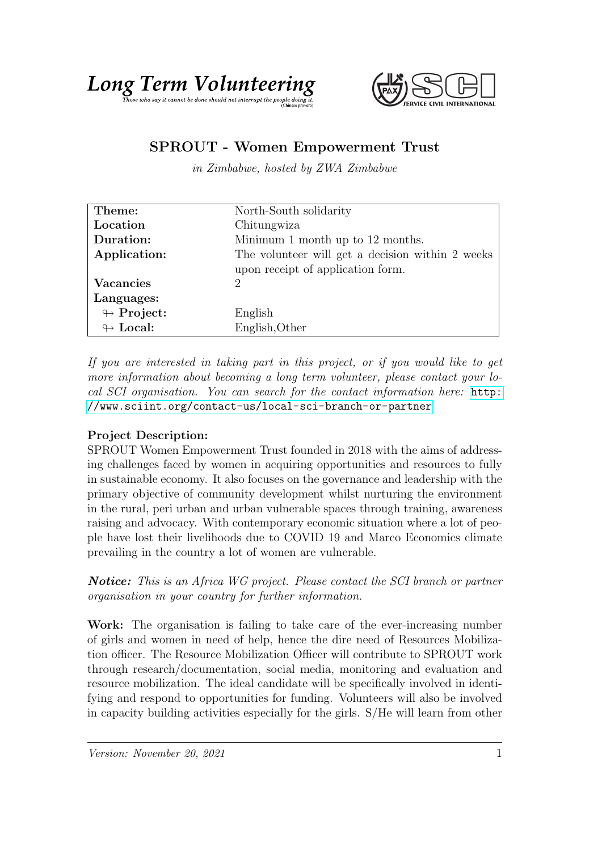



## SPROUT - Women Empowerment Trust

in Zimbabwe, hosted by ZWA Zimbabwe

| Theme:                     | North-South solidarity                           |
|----------------------------|--------------------------------------------------|
| Location                   | Chitungwiza                                      |
| Duration:                  | Minimum 1 month up to 12 months.                 |
| Application:               | The volunteer will get a decision within 2 weeks |
|                            | upon receipt of application form.                |
| <b>Vacancies</b>           | $\mathcal{D}_{\mathcal{L}}$                      |
| Languages:                 |                                                  |
| $\looparrowright$ Project: | English                                          |
| $\leftrightarrow$ Local:   | English, Other                                   |

If you are interested in taking part in this project, or if you would like to get more information about becoming a long term volunteer, please contact your local SCI organisation. You can search for the contact information here: [http:](http://www.sciint.org/contact-us/local-sci-branch-or-partner) [//www.sciint.org/contact-us/local-sci-branch-or-partner](http://www.sciint.org/contact-us/local-sci-branch-or-partner)

## Project Description:

SPROUT Women Empowerment Trust founded in 2018 with the aims of addressing challenges faced by women in acquiring opportunities and resources to fully in sustainable economy. It also focuses on the governance and leadership with the primary objective of community development whilst nurturing the environment in the rural, peri urban and urban vulnerable spaces through training, awareness raising and advocacy. With contemporary economic situation where a lot of people have lost their livelihoods due to COVID 19 and Marco Economics climate prevailing in the country a lot of women are vulnerable.

Notice: This is an Africa WG project. Please contact the SCI branch or partner organisation in your country for further information.

Work: The organisation is failing to take care of the ever-increasing number of girls and women in need of help, hence the dire need of Resources Mobilization officer. The Resource Mobilization Officer will contribute to SPROUT work through research/documentation, social media, monitoring and evaluation and resource mobilization. The ideal candidate will be specifically involved in identifying and respond to opportunities for funding. Volunteers will also be involved in capacity building activities especially for the girls. S/He will learn from other